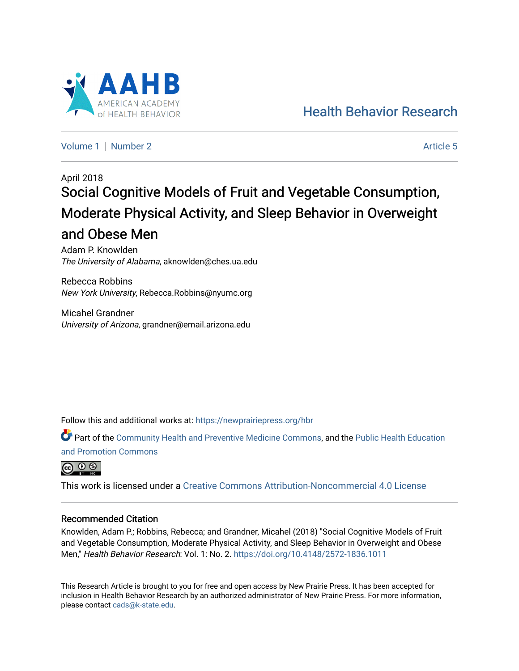

[Health Behavior Research](https://newprairiepress.org/hbr) 

[Volume 1](https://newprairiepress.org/hbr/vol1) | [Number 2](https://newprairiepress.org/hbr/vol1/iss2) Article 5

# April 2018 Social Cognitive Models of Fruit and Vegetable Consumption, Moderate Physical Activity, and Sleep Behavior in Overweight and Obese Men

Adam P. Knowlden The University of Alabama, aknowlden@ches.ua.edu

Rebecca Robbins New York University, Rebecca.Robbins@nyumc.org

Micahel Grandner University of Arizona, grandner@email.arizona.edu

Follow this and additional works at: [https://newprairiepress.org/hbr](https://newprairiepress.org/hbr?utm_source=newprairiepress.org%2Fhbr%2Fvol1%2Fiss2%2F5&utm_medium=PDF&utm_campaign=PDFCoverPages) 

Part of the [Community Health and Preventive Medicine Commons](http://network.bepress.com/hgg/discipline/744?utm_source=newprairiepress.org%2Fhbr%2Fvol1%2Fiss2%2F5&utm_medium=PDF&utm_campaign=PDFCoverPages), and the [Public Health Education](http://network.bepress.com/hgg/discipline/743?utm_source=newprairiepress.org%2Fhbr%2Fvol1%2Fiss2%2F5&utm_medium=PDF&utm_campaign=PDFCoverPages) [and Promotion Commons](http://network.bepress.com/hgg/discipline/743?utm_source=newprairiepress.org%2Fhbr%2Fvol1%2Fiss2%2F5&utm_medium=PDF&utm_campaign=PDFCoverPages)



This work is licensed under a [Creative Commons Attribution-Noncommercial 4.0 License](https://creativecommons.org/licenses/by-nc/4.0/)

#### Recommended Citation

Knowlden, Adam P.; Robbins, Rebecca; and Grandner, Micahel (2018) "Social Cognitive Models of Fruit and Vegetable Consumption, Moderate Physical Activity, and Sleep Behavior in Overweight and Obese Men," Health Behavior Research: Vol. 1: No. 2. <https://doi.org/10.4148/2572-1836.1011>

This Research Article is brought to you for free and open access by New Prairie Press. It has been accepted for inclusion in Health Behavior Research by an authorized administrator of New Prairie Press. For more information, please contact [cads@k-state.edu.](mailto:cads@k-state.edu)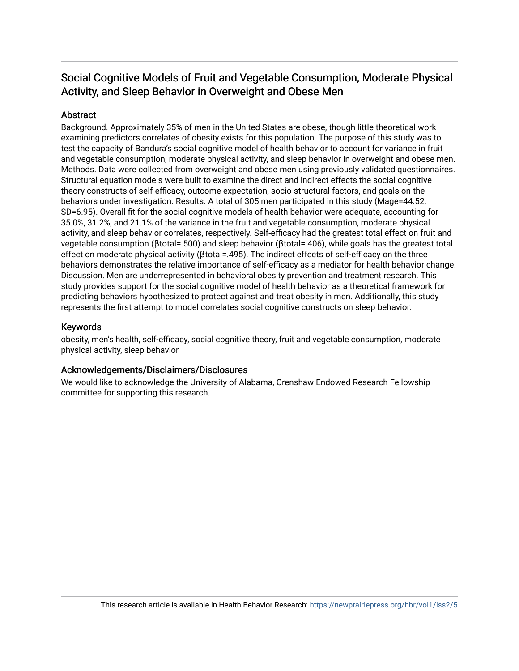# Social Cognitive Models of Fruit and Vegetable Consumption, Moderate Physical Activity, and Sleep Behavior in Overweight and Obese Men

## **Abstract**

Background. Approximately 35% of men in the United States are obese, though little theoretical work examining predictors correlates of obesity exists for this population. The purpose of this study was to test the capacity of Bandura's social cognitive model of health behavior to account for variance in fruit and vegetable consumption, moderate physical activity, and sleep behavior in overweight and obese men. Methods. Data were collected from overweight and obese men using previously validated questionnaires. Structural equation models were built to examine the direct and indirect effects the social cognitive theory constructs of self-efficacy, outcome expectation, socio-structural factors, and goals on the behaviors under investigation. Results. A total of 305 men participated in this study (Mage=44.52; SD=6.95). Overall fit for the social cognitive models of health behavior were adequate, accounting for 35.0%, 31.2%, and 21.1% of the variance in the fruit and vegetable consumption, moderate physical activity, and sleep behavior correlates, respectively. Self-efficacy had the greatest total effect on fruit and vegetable consumption (βtotal=.500) and sleep behavior (βtotal=.406), while goals has the greatest total effect on moderate physical activity (βtotal=.495). The indirect effects of self-efficacy on the three behaviors demonstrates the relative importance of self-efficacy as a mediator for health behavior change. Discussion. Men are underrepresented in behavioral obesity prevention and treatment research. This study provides support for the social cognitive model of health behavior as a theoretical framework for predicting behaviors hypothesized to protect against and treat obesity in men. Additionally, this study represents the first attempt to model correlates social cognitive constructs on sleep behavior.

#### Keywords

obesity, men's health, self-efficacy, social cognitive theory, fruit and vegetable consumption, moderate physical activity, sleep behavior

#### Acknowledgements/Disclaimers/Disclosures

We would like to acknowledge the University of Alabama, Crenshaw Endowed Research Fellowship committee for supporting this research.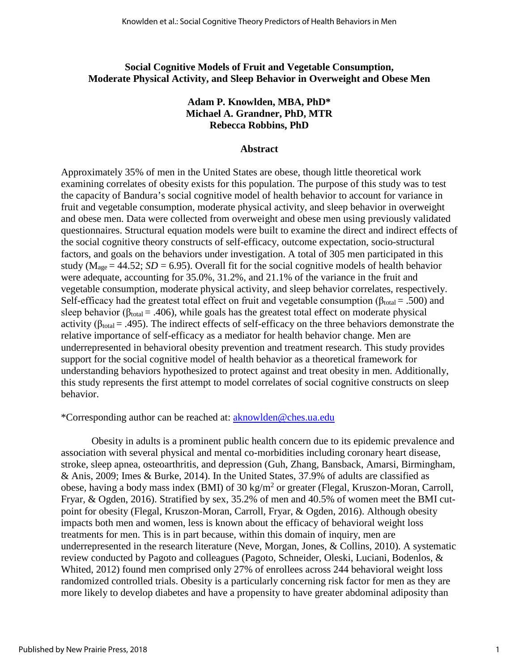#### **Social Cognitive Models of Fruit and Vegetable Consumption, Moderate Physical Activity, and Sleep Behavior in Overweight and Obese Men**

## **Adam P. Knowlden, MBA, PhD\* Michael A. Grandner, PhD, MTR Rebecca Robbins, PhD**

#### **Abstract**

Approximately 35% of men in the United States are obese, though little theoretical work examining correlates of obesity exists for this population. The purpose of this study was to test the capacity of Bandura's social cognitive model of health behavior to account for variance in fruit and vegetable consumption, moderate physical activity, and sleep behavior in overweight and obese men. Data were collected from overweight and obese men using previously validated questionnaires. Structural equation models were built to examine the direct and indirect effects of the social cognitive theory constructs of self-efficacy, outcome expectation, socio-structural factors, and goals on the behaviors under investigation. A total of 305 men participated in this study ( $M_{\text{age}} = 44.52$ ; *SD* = 6.95). Overall fit for the social cognitive models of health behavior were adequate, accounting for 35.0%, 31.2%, and 21.1% of the variance in the fruit and vegetable consumption, moderate physical activity, and sleep behavior correlates, respectively. Self-efficacy had the greatest total effect on fruit and vegetable consumption ( $\beta_{\text{total}} = .500$ ) and sleep behavior ( $\beta_{\text{total}} = .406$ ), while goals has the greatest total effect on moderate physical activity ( $\beta_{\text{total}} = .495$ ). The indirect effects of self-efficacy on the three behaviors demonstrate the relative importance of self-efficacy as a mediator for health behavior change. Men are underrepresented in behavioral obesity prevention and treatment research. This study provides support for the social cognitive model of health behavior as a theoretical framework for understanding behaviors hypothesized to protect against and treat obesity in men. Additionally, this study represents the first attempt to model correlates of social cognitive constructs on sleep behavior.

#### \*Corresponding author can be reached at: [aknowlden@ches.ua.edu](mailto:aknowlden@ches.ua.edu)

Obesity in adults is a prominent public health concern due to its epidemic prevalence and association with several physical and mental co-morbidities including coronary heart disease, stroke, sleep apnea, osteoarthritis, and depression (Guh, Zhang, Bansback, Amarsi, Birmingham, & Anis, 2009; Imes & Burke, 2014). In the United States, 37.9% of adults are classified as obese, having a body mass index (BMI) of 30 kg/m<sup>2</sup> or greater (Flegal, Kruszon-Moran, Carroll, Fryar, & Ogden, 2016). Stratified by sex, 35.2% of men and 40.5% of women meet the BMI cutpoint for obesity (Flegal, Kruszon-Moran, Carroll, Fryar, & Ogden, 2016). Although obesity impacts both men and women, less is known about the efficacy of behavioral weight loss treatments for men. This is in part because, within this domain of inquiry, men are underrepresented in the research literature (Neve, Morgan, Jones, & Collins, 2010). A systematic review conducted by Pagoto and colleagues (Pagoto, Schneider, Oleski, Luciani, Bodenlos, & Whited, 2012) found men comprised only 27% of enrollees across 244 behavioral weight loss randomized controlled trials. Obesity is a particularly concerning risk factor for men as they are more likely to develop diabetes and have a propensity to have greater abdominal adiposity than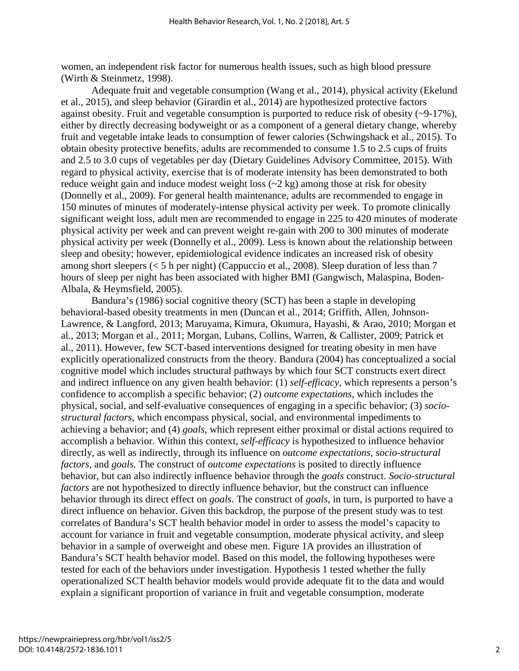women, an independent risk factor for numerous health issues, such as high blood pressure (Wirth & Steinmetz, 1998).

Adequate fruit and vegetable consumption (Wang et al., 2014), physical activity (Ekelund et al., 2015), and sleep behavior (Girardin et al., 2014) are hypothesized protective factors against obesity. Fruit and vegetable consumption is purported to reduce risk of obesity (~9-17%), either by directly decreasing bodyweight or as a component of a general dietary change, whereby fruit and vegetable intake leads to consumption of fewer calories (Schwingshack et al., 2015). To obtain obesity protective benefits, adults are recommended to consume 1.5 to 2.5 cups of fruits and 2.5 to 3.0 cups of vegetables per day (Dietary Guidelines Advisory Committee, 2015). With regard to physical activity, exercise that is of moderate intensity has been demonstrated to both reduce weight gain and induce modest weight loss  $(\sim 2 \text{ kg})$  among those at risk for obesity (Donnelly et al., 2009). For general health maintenance, adults are recommended to engage in 150 minutes of minutes of moderately-intense physical activity per week. To promote clinically significant weight loss, adult men are recommended to engage in 225 to 420 minutes of moderate physical activity per week and can prevent weight re-gain with 200 to 300 minutes of moderate physical activity per week (Donnelly et al., 2009). Less is known about the relationship between sleep and obesity; however, epidemiological evidence indicates an increased risk of obesity among short sleepers (< 5 h per night) (Cappuccio et al., 2008). Sleep duration of less than 7 hours of sleep per night has been associated with higher BMI (Gangwisch, Malaspina, Boden-Albala, & Heymsfield, 2005).

Bandura's (1986) social cognitive theory (SCT) has been a staple in developing behavioral-based obesity treatments in men (Duncan et al., 2014; Griffith, Allen, Johnson-Lawrence, & Langford, 2013; Maruyama, Kimura, Okumura, Hayashi, & Arao, 2010; Morgan et al., 2013; Morgan et al., 2011; Morgan, Lubans, Collins, Warren, & Callister, 2009; Patrick et al., 2011). However, few SCT-based interventions designed for treating obesity in men have explicitly operationalized constructs from the theory. Bandura (2004) has conceptualized a social cognitive model which includes structural pathways by which four SCT constructs exert direct and indirect influence on any given health behavior: (1) *self-efficacy*, which represents a person's confidence to accomplish a specific behavior; (2) *outcome expectations*, which includes the physical, social, and self-evaluative consequences of engaging in a specific behavior; (3) *sociostructural factors*, which encompass physical, social, and environmental impediments to achieving a behavior; and (4) *goals*, which represent either proximal or distal actions required to accomplish a behavior. Within this context, *self-efficacy* is hypothesized to influence behavior directly, as well as indirectly, through its influence on *outcome expectations*, *socio-structural factors*, and *goals*. The construct of *outcome expectations* is posited to directly influence behavior, but can also indirectly influence behavior through the *goals* construct. *Socio-structural factors* are not hypothesized to directly influence behavior, but the construct can influence behavior through its direct effect on *goals*. The construct of *goals*, in turn, is purported to have a direct influence on behavior. Given this backdrop, the purpose of the present study was to test correlates of Bandura's SCT health behavior model in order to assess the model's capacity to account for variance in fruit and vegetable consumption, moderate physical activity, and sleep behavior in a sample of overweight and obese men. Figure 1A provides an illustration of Bandura's SCT health behavior model. Based on this model, the following hypotheses were tested for each of the behaviors under investigation. Hypothesis 1 tested whether the fully operationalized SCT health behavior models would provide adequate fit to the data and would explain a significant proportion of variance in fruit and vegetable consumption, moderate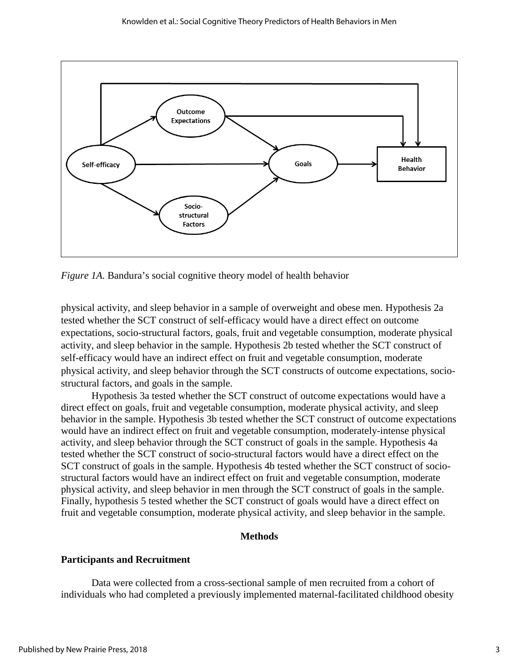

*Figure 1A.* Bandura's social cognitive theory model of health behavior

physical activity, and sleep behavior in a sample of overweight and obese men. Hypothesis 2a tested whether the SCT construct of self-efficacy would have a direct effect on outcome expectations, socio-structural factors, goals, fruit and vegetable consumption, moderate physical activity, and sleep behavior in the sample. Hypothesis 2b tested whether the SCT construct of self-efficacy would have an indirect effect on fruit and vegetable consumption, moderate physical activity, and sleep behavior through the SCT constructs of outcome expectations, sociostructural factors, and goals in the sample.

Hypothesis 3a tested whether the SCT construct of outcome expectations would have a direct effect on goals, fruit and vegetable consumption, moderate physical activity, and sleep behavior in the sample. Hypothesis 3b tested whether the SCT construct of outcome expectations would have an indirect effect on fruit and vegetable consumption, moderately-intense physical activity, and sleep behavior through the SCT construct of goals in the sample. Hypothesis 4a tested whether the SCT construct of socio-structural factors would have a direct effect on the SCT construct of goals in the sample. Hypothesis 4b tested whether the SCT construct of sociostructural factors would have an indirect effect on fruit and vegetable consumption, moderate physical activity, and sleep behavior in men through the SCT construct of goals in the sample. Finally, hypothesis 5 tested whether the SCT construct of goals would have a direct effect on fruit and vegetable consumption, moderate physical activity, and sleep behavior in the sample.

#### **Methods**

#### **Participants and Recruitment**

Data were collected from a cross-sectional sample of men recruited from a cohort of individuals who had completed a previously implemented maternal-facilitated childhood obesity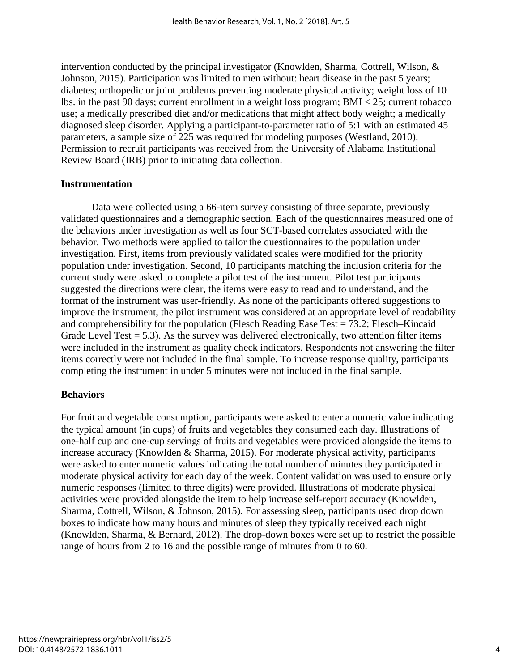intervention conducted by the principal investigator (Knowlden, Sharma, Cottrell, Wilson, & Johnson, 2015). Participation was limited to men without: heart disease in the past 5 years; diabetes; orthopedic or joint problems preventing moderate physical activity; weight loss of 10 lbs. in the past 90 days; current enrollment in a weight loss program; BMI < 25; current tobacco use; a medically prescribed diet and/or medications that might affect body weight; a medically diagnosed sleep disorder. Applying a participant-to-parameter ratio of 5:1 with an estimated 45 parameters, a sample size of 225 was required for modeling purposes (Westland, 2010). Permission to recruit participants was received from the University of Alabama Institutional Review Board (IRB) prior to initiating data collection.

#### **Instrumentation**

Data were collected using a 66-item survey consisting of three separate, previously validated questionnaires and a demographic section. Each of the questionnaires measured one of the behaviors under investigation as well as four SCT-based correlates associated with the behavior. Two methods were applied to tailor the questionnaires to the population under investigation. First, items from previously validated scales were modified for the priority population under investigation. Second, 10 participants matching the inclusion criteria for the current study were asked to complete a pilot test of the instrument. Pilot test participants suggested the directions were clear, the items were easy to read and to understand, and the format of the instrument was user-friendly. As none of the participants offered suggestions to improve the instrument, the pilot instrument was considered at an appropriate level of readability and comprehensibility for the population (Flesch Reading Ease Test = 73.2; Flesch–Kincaid Grade Level Test  $= 5.3$ ). As the survey was delivered electronically, two attention filter items were included in the instrument as quality check indicators. Respondents not answering the filter items correctly were not included in the final sample. To increase response quality, participants completing the instrument in under 5 minutes were not included in the final sample.

#### **Behaviors**

For fruit and vegetable consumption, participants were asked to enter a numeric value indicating the typical amount (in cups) of fruits and vegetables they consumed each day. Illustrations of one-half cup and one-cup servings of fruits and vegetables were provided alongside the items to increase accuracy (Knowlden & Sharma, 2015). For moderate physical activity, participants were asked to enter numeric values indicating the total number of minutes they participated in moderate physical activity for each day of the week. Content validation was used to ensure only numeric responses (limited to three digits) were provided. Illustrations of moderate physical activities were provided alongside the item to help increase self-report accuracy (Knowlden, Sharma, Cottrell, Wilson, & Johnson, 2015). For assessing sleep, participants used drop down boxes to indicate how many hours and minutes of sleep they typically received each night (Knowlden, Sharma, & Bernard, 2012). The drop-down boxes were set up to restrict the possible range of hours from 2 to 16 and the possible range of minutes from 0 to 60.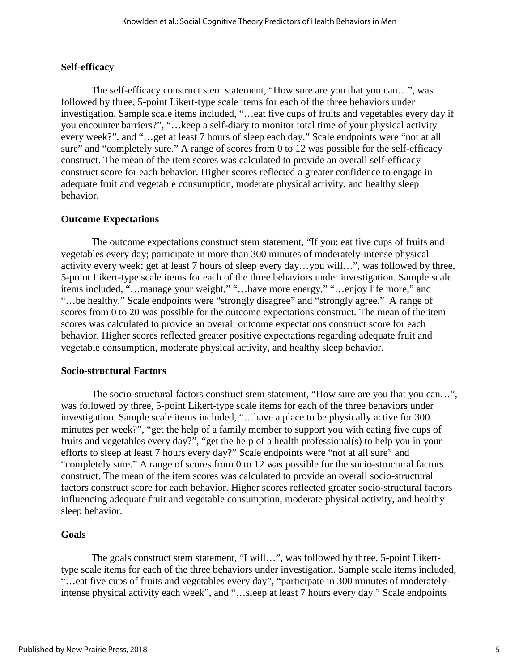#### **Self-efficacy**

The self-efficacy construct stem statement, "How sure are you that you can…", was followed by three, 5-point Likert-type scale items for each of the three behaviors under investigation. Sample scale items included, "…eat five cups of fruits and vegetables every day if you encounter barriers?", "…keep a self-diary to monitor total time of your physical activity every week?", and "…get at least 7 hours of sleep each day." Scale endpoints were "not at all sure" and "completely sure." A range of scores from 0 to 12 was possible for the self-efficacy construct. The mean of the item scores was calculated to provide an overall self-efficacy construct score for each behavior. Higher scores reflected a greater confidence to engage in adequate fruit and vegetable consumption, moderate physical activity, and healthy sleep behavior.

#### **Outcome Expectations**

The outcome expectations construct stem statement, "If you: eat five cups of fruits and vegetables every day; participate in more than 300 minutes of moderately-intense physical activity every week; get at least 7 hours of sleep every day…you will…", was followed by three, 5-point Likert-type scale items for each of the three behaviors under investigation. Sample scale items included, "…manage your weight," "…have more energy," "…enjoy life more," and "…be healthy." Scale endpoints were "strongly disagree" and "strongly agree." A range of scores from 0 to 20 was possible for the outcome expectations construct. The mean of the item scores was calculated to provide an overall outcome expectations construct score for each behavior. Higher scores reflected greater positive expectations regarding adequate fruit and vegetable consumption, moderate physical activity, and healthy sleep behavior.

#### **Socio-structural Factors**

The socio-structural factors construct stem statement, "How sure are you that you can…", was followed by three, 5-point Likert-type scale items for each of the three behaviors under investigation. Sample scale items included, "…have a place to be physically active for 300 minutes per week?", "get the help of a family member to support you with eating five cups of fruits and vegetables every day?", "get the help of a health professional(s) to help you in your efforts to sleep at least 7 hours every day?" Scale endpoints were "not at all sure" and "completely sure." A range of scores from 0 to 12 was possible for the socio-structural factors construct. The mean of the item scores was calculated to provide an overall socio-structural factors construct score for each behavior. Higher scores reflected greater socio-structural factors influencing adequate fruit and vegetable consumption, moderate physical activity, and healthy sleep behavior.

#### **Goals**

The goals construct stem statement, "I will…", was followed by three, 5-point Likerttype scale items for each of the three behaviors under investigation. Sample scale items included, "…eat five cups of fruits and vegetables every day", "participate in 300 minutes of moderatelyintense physical activity each week", and "…sleep at least 7 hours every day." Scale endpoints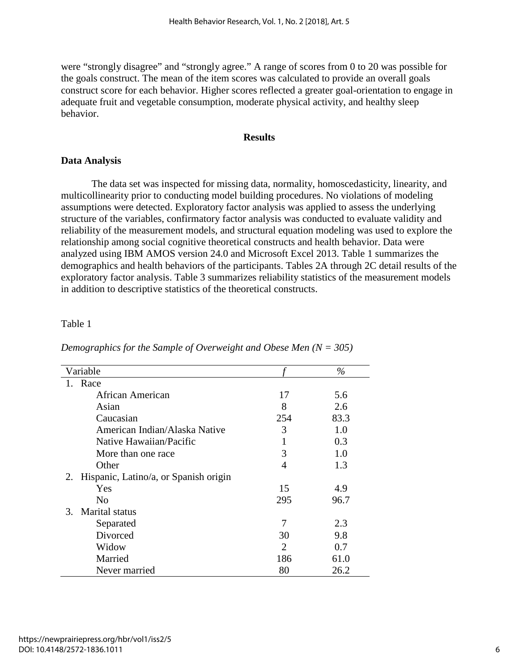were "strongly disagree" and "strongly agree." A range of scores from 0 to 20 was possible for the goals construct. The mean of the item scores was calculated to provide an overall goals construct score for each behavior. Higher scores reflected a greater goal-orientation to engage in adequate fruit and vegetable consumption, moderate physical activity, and healthy sleep behavior.

#### **Results**

# **Data Analysis**

The data set was inspected for missing data, normality, homoscedasticity, linearity, and multicollinearity prior to conducting model building procedures. No violations of modeling assumptions were detected. Exploratory factor analysis was applied to assess the underlying structure of the variables, confirmatory factor analysis was conducted to evaluate validity and reliability of the measurement models, and structural equation modeling was used to explore the relationship among social cognitive theoretical constructs and health behavior. Data were analyzed using IBM AMOS version 24.0 and Microsoft Excel 2013. Table 1 summarizes the demographics and health behaviors of the participants. Tables 2A through 2C detail results of the exploratory factor analysis. Table 3 summarizes reliability statistics of the measurement models in addition to descriptive statistics of the theoretical constructs.

# Table 1

| Demographics for the Sample of Overweight and Obese Men $(N = 305)$ |  |  |  |
|---------------------------------------------------------------------|--|--|--|
|---------------------------------------------------------------------|--|--|--|

| Variable                                    |                | $\%$ |
|---------------------------------------------|----------------|------|
| Race                                        |                |      |
| African American                            | 17             | 5.6  |
| Asian                                       | 8              | 2.6  |
| Caucasian                                   | 254            | 83.3 |
| American Indian/Alaska Native               | 3              | 1.0  |
| Native Hawaiian/Pacific                     |                | 0.3  |
| More than one race                          | 3              | 1.0  |
| Other                                       | 4              | 1.3  |
| Hispanic, Latino/a, or Spanish origin<br>2. |                |      |
| Yes                                         | 15             | 4.9  |
| N <sub>0</sub>                              | 295            | 96.7 |
| <b>Marital</b> status<br>3.                 |                |      |
| Separated                                   | 7              | 2.3  |
| Divorced                                    | 30             | 9.8  |
| Widow                                       | $\overline{2}$ | 0.7  |
| Married                                     | 186            | 61.0 |
| Never married                               | 80             | 26.2 |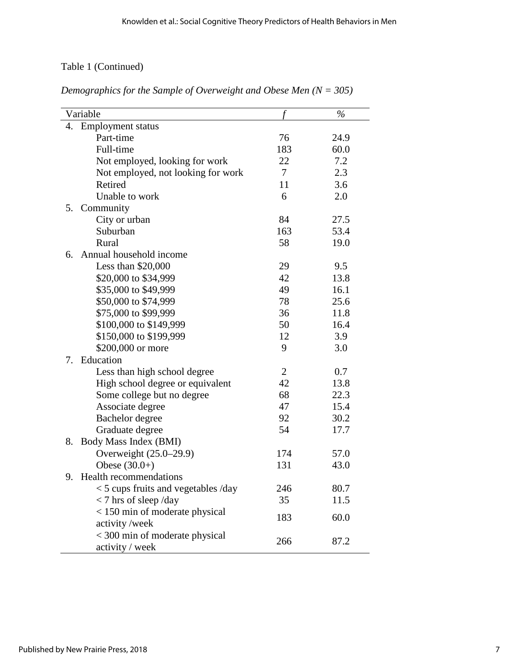# Table 1 (Continued)

| Variable                              |                | $\%$ |
|---------------------------------------|----------------|------|
| <b>Employment status</b><br>4.        |                |      |
| Part-time                             | 76             | 24.9 |
| Full-time                             | 183            | 60.0 |
| Not employed, looking for work        | 22             | 7.2  |
| Not employed, not looking for work    | 7              | 2.3  |
| Retired                               | 11             | 3.6  |
| Unable to work                        | 6              | 2.0  |
| 5.<br>Community                       |                |      |
| City or urban                         | 84             | 27.5 |
| Suburban                              | 163            | 53.4 |
| Rural                                 | 58             | 19.0 |
| Annual household income<br>6.         |                |      |
| Less than $$20,000$                   | 29             | 9.5  |
| \$20,000 to \$34,999                  | 42             | 13.8 |
| \$35,000 to \$49,999                  | 49             | 16.1 |
| \$50,000 to \$74,999                  | 78             | 25.6 |
| \$75,000 to \$99,999                  | 36             | 11.8 |
| \$100,000 to \$149,999                | 50             | 16.4 |
| \$150,000 to \$199,999                | 12             | 3.9  |
| \$200,000 or more                     | 9              | 3.0  |
| Education<br>7.                       |                |      |
| Less than high school degree          | $\overline{2}$ | 0.7  |
| High school degree or equivalent      | 42             | 13.8 |
| Some college but no degree            | 68             | 22.3 |
| Associate degree                      | 47             | 15.4 |
| Bachelor degree                       | 92             | 30.2 |
| Graduate degree                       | 54             | 17.7 |
| Body Mass Index (BMI)<br>8.           |                |      |
| Overweight (25.0–29.9)                | 174            | 57.0 |
| Obese $(30.0+)$                       | 131            | 43.0 |
| <b>Health recommendations</b><br>9.   |                |      |
| $<$ 5 cups fruits and vegetables /day | 246            | 80.7 |
| $<$ 7 hrs of sleep/day                | 35             | 11.5 |
| < 150 min of moderate physical        | 183            | 60.0 |
| activity/week                         |                |      |
| < 300 min of moderate physical        | 266            | 87.2 |
| activity / week                       |                |      |

*Demographics for the Sample of Overweight and Obese Men (N = 305)*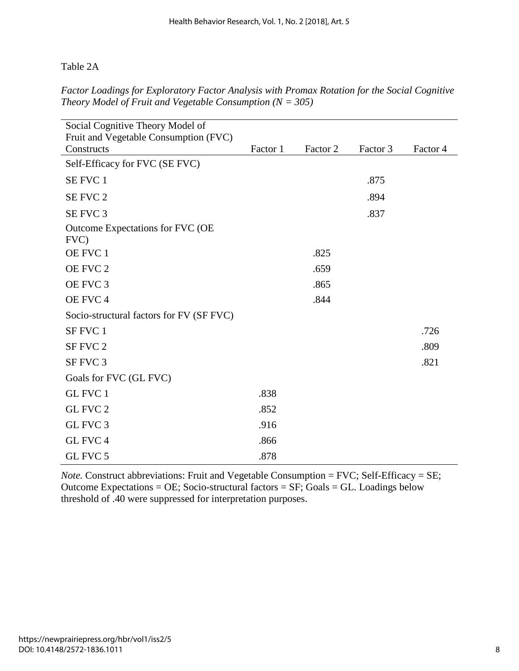Table 2A

*Factor Loadings for Exploratory Factor Analysis with Promax Rotation for the Social Cognitive Theory Model of Fruit and Vegetable Consumption (N = 305)* 

| Social Cognitive Theory Model of<br>Fruit and Vegetable Consumption (FVC) |          |          |          |          |
|---------------------------------------------------------------------------|----------|----------|----------|----------|
| Constructs                                                                | Factor 1 | Factor 2 | Factor 3 | Factor 4 |
| Self-Efficacy for FVC (SE FVC)                                            |          |          |          |          |
| SE FVC 1                                                                  |          |          | .875     |          |
| SE FVC 2                                                                  |          |          | .894     |          |
| SE FVC 3                                                                  |          |          | .837     |          |
| Outcome Expectations for FVC (OE<br>FVC)                                  |          |          |          |          |
| OE FVC 1                                                                  |          | .825     |          |          |
| OE FVC 2                                                                  |          | .659     |          |          |
| OE FVC 3                                                                  |          | .865     |          |          |
| OE FVC 4                                                                  |          | .844     |          |          |
| Socio-structural factors for FV (SF FVC)                                  |          |          |          |          |
| SF FVC 1                                                                  |          |          |          | .726     |
| SF FVC 2                                                                  |          |          |          | .809     |
| SF FVC 3                                                                  |          |          |          | .821     |
| Goals for FVC (GL FVC)                                                    |          |          |          |          |
| GL FVC 1                                                                  | .838     |          |          |          |
| GL FVC 2                                                                  | .852     |          |          |          |
| GL FVC 3                                                                  | .916     |          |          |          |
| GL FVC 4                                                                  | .866     |          |          |          |
| GL FVC 5                                                                  | .878     |          |          |          |

*Note.* Construct abbreviations: Fruit and Vegetable Consumption = FVC; Self-Efficacy = SE; Outcome Expectations = OE; Socio-structural factors =  $SF$ ; Goals = GL. Loadings below threshold of .40 were suppressed for interpretation purposes.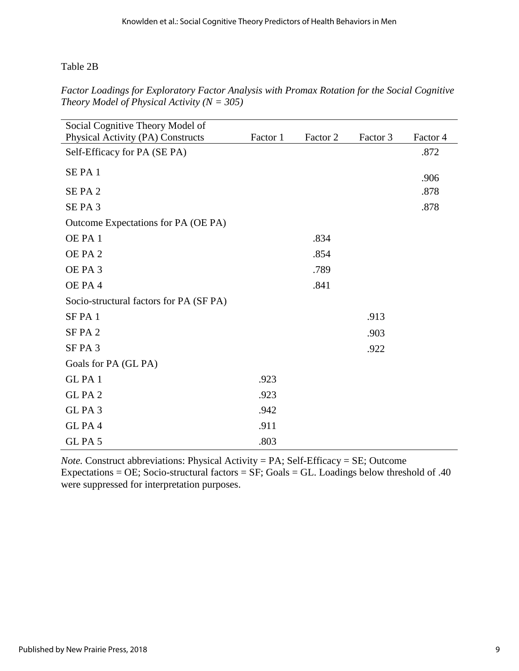Table 2B

*Factor Loadings for Exploratory Factor Analysis with Promax Rotation for the Social Cognitive Theory Model of Physical Activity (N = 305)* 

| Social Cognitive Theory Model of        |          |          |          |          |
|-----------------------------------------|----------|----------|----------|----------|
| Physical Activity (PA) Constructs       | Factor 1 | Factor 2 | Factor 3 | Factor 4 |
| Self-Efficacy for PA (SE PA)            |          |          |          | .872     |
| SEPA <sub>1</sub>                       |          |          |          |          |
|                                         |          |          |          | .906     |
| SEPA <sub>2</sub>                       |          |          |          | .878     |
| SEPA <sub>3</sub>                       |          |          |          | .878     |
| Outcome Expectations for PA (OE PA)     |          |          |          |          |
| OE PA 1                                 |          | .834     |          |          |
| OE PA 2                                 |          | .854     |          |          |
| OE PA 3                                 |          | .789     |          |          |
| OE PA 4                                 |          | .841     |          |          |
| Socio-structural factors for PA (SF PA) |          |          |          |          |
| SFPA <sub>1</sub>                       |          |          | .913     |          |
| SFPA <sub>2</sub>                       |          |          | .903     |          |
| SFPA3                                   |          |          | .922     |          |
| Goals for PA (GL PA)                    |          |          |          |          |
| GLPA1                                   | .923     |          |          |          |
| GLPA <sub>2</sub>                       | .923     |          |          |          |
| GLPA3                                   | .942     |          |          |          |
| GLPA4                                   | .911     |          |          |          |
| GLPA <sub>5</sub>                       | .803     |          |          |          |

*Note.* Construct abbreviations: Physical Activity = PA; Self-Efficacy = SE; Outcome Expectations = OE; Socio-structural factors =  $SF$ ; Goals = GL. Loadings below threshold of .40 were suppressed for interpretation purposes.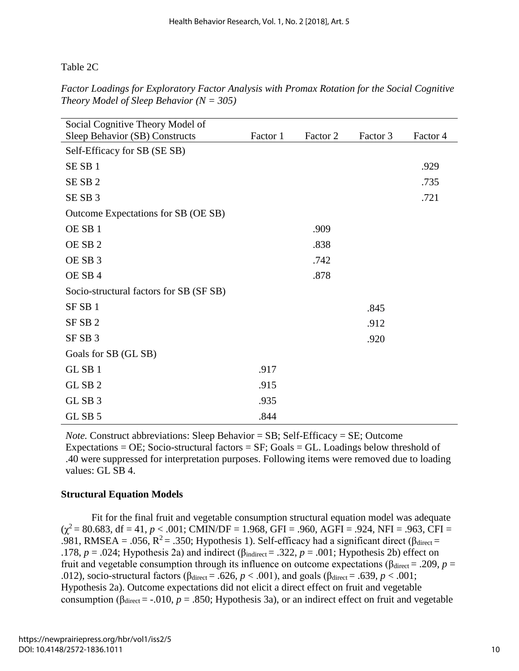Table 2C

| Factor Loadings for Exploratory Factor Analysis with Promax Rotation for the Social Cognitive |  |  |  |
|-----------------------------------------------------------------------------------------------|--|--|--|
| Theory Model of Sleep Behavior ( $N = 305$ )                                                  |  |  |  |

| Social Cognitive Theory Model of        |          |          |          |          |
|-----------------------------------------|----------|----------|----------|----------|
| Sleep Behavior (SB) Constructs          | Factor 1 | Factor 2 | Factor 3 | Factor 4 |
| Self-Efficacy for SB (SE SB)            |          |          |          |          |
| SESB <sub>1</sub>                       |          |          |          | .929     |
| SESB <sub>2</sub>                       |          |          |          | .735     |
| SESB <sub>3</sub>                       |          |          |          | .721     |
| Outcome Expectations for SB (OE SB)     |          |          |          |          |
| OE SB <sub>1</sub>                      |          | .909     |          |          |
| OE SB <sub>2</sub>                      |          | .838     |          |          |
| OE SB <sub>3</sub>                      |          | .742     |          |          |
| OE SB 4                                 |          | .878     |          |          |
| Socio-structural factors for SB (SF SB) |          |          |          |          |
| SF <sub>SB1</sub>                       |          |          | .845     |          |
| SF <sub>SB2</sub>                       |          |          | .912     |          |
| SF <sub>SB</sub> 3                      |          |          | .920     |          |
| Goals for SB (GL SB)                    |          |          |          |          |
| GL SB 1                                 | .917     |          |          |          |
| GL SB <sub>2</sub>                      | .915     |          |          |          |
| GL SB 3                                 | .935     |          |          |          |
| GL SB 5                                 | .844     |          |          |          |

*Note.* Construct abbreviations: Sleep Behavior = SB; Self-Efficacy = SE; Outcome Expectations = OE; Socio-structural factors =  $SF$ ; Goals = GL. Loadings below threshold of .40 were suppressed for interpretation purposes. Following items were removed due to loading values: GL SB 4.

# **Structural Equation Models**

Fit for the final fruit and vegetable consumption structural equation model was adequate  $(\chi^2 = 80.683, df = 41, p < .001; CMIN/DF = 1.968, GFI = .960, AGFI = .924, NFI = .963, CFI =$ .981, RMSEA = .056,  $R^2$  = .350; Hypothesis 1). Self-efficacy had a significant direct ( $\beta_{\text{direct}}$  = .178,  $p = .024$ ; Hypothesis 2a) and indirect ( $\beta_{\text{indirect}} = .322$ ,  $p = .001$ ; Hypothesis 2b) effect on fruit and vegetable consumption through its influence on outcome expectations ( $β<sub>direct</sub> = .209$ , *p* = .012), socio-structural factors ( $β_{\text{direct}} = .626$ ,  $p < .001$ ), and goals ( $β_{\text{direct}} = .639$ ,  $p < .001$ ; Hypothesis 2a). Outcome expectations did not elicit a direct effect on fruit and vegetable consumption ( $\beta_{\text{direct}} = -.010$ ,  $p = .850$ ; Hypothesis 3a), or an indirect effect on fruit and vegetable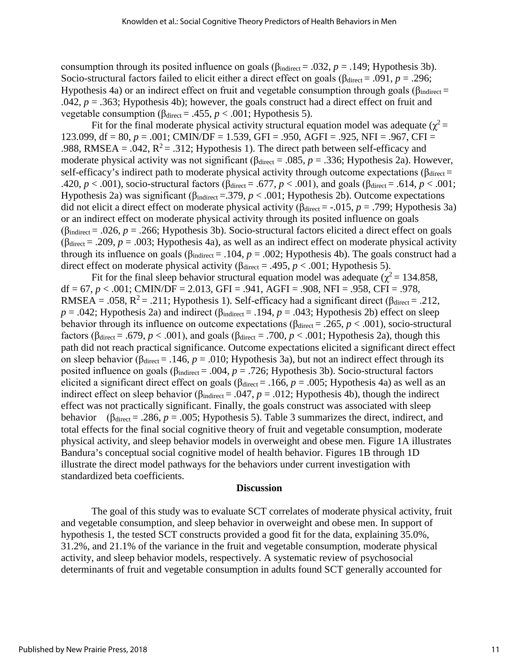consumption through its posited influence on goals ( $\beta_{\text{indirect}} = .032$ ,  $p = .149$ ; Hypothesis 3b). Socio-structural factors failed to elicit either a direct effect on goals ( $\beta_{\text{direct}} = .091$ ,  $p = .296$ ; Hypothesis 4a) or an indirect effect on fruit and vegetable consumption through goals ( $\beta_{\text{indirect}}$  = .042,  $p = 0.363$ ; Hypothesis 4b); however, the goals construct had a direct effect on fruit and vegetable consumption ( $\beta_{\text{direct}} = .455$ ,  $p < .001$ ; Hypothesis 5).

Fit for the final moderate physical activity structural equation model was adequate ( $\chi^2$  = 123.099, df = 80, *p* = .001; CMIN/DF = 1.539, GFI = .950, AGFI = .925, NFI = .967, CFI = .988, RMSEA = .042,  $R^2$  = .312; Hypothesis 1). The direct path between self-efficacy and moderate physical activity was not significant ( $\beta_{\text{direct}} = .085$ ,  $p = .336$ ; Hypothesis 2a). However, self-efficacy's indirect path to moderate physical activity through outcome expectations ( $\beta_{\text{direct}} =$ .420, *p* < .001), socio-structural factors ( $β_{\text{direct}} = .677$ , *p* < .001), and goals ( $β_{\text{direct}} = .614$ , *p* < .001; Hypothesis 2a) was significant (βindirect =.379, *p* < .001; Hypothesis 2b). Outcome expectations did not elicit a direct effect on moderate physical activity ( $\beta_{\text{direct}} = -.015$ ,  $p = .799$ ; Hypothesis 3a) or an indirect effect on moderate physical activity through its posited influence on goals ( $β<sub>indirect</sub> = .026$ , *p* = .266; Hypothesis 3b). Socio-structural factors elicited a direct effect on goals ( $\beta_{\text{direct}} = .209$ ,  $p = .003$ ; Hypothesis 4a), as well as an indirect effect on moderate physical activity through its influence on goals ( $\beta_{indirect} = .104$ ,  $p = .002$ ; Hypothesis 4b). The goals construct had a direct effect on moderate physical activity ( $β<sub>direct</sub> = .495, p < .001$ ; Hypothesis 5).

Fit for the final sleep behavior structural equation model was adequate ( $\chi^2$  = 134.858, df = 67,  $p < .001$ ; CMIN/DF = 2.013, GFI = .941, AGFI = .908, NFI = .958, CFI = .978, RMSEA = .058,  $R^2$  = .211; Hypothesis 1). Self-efficacy had a significant direct ( $\beta_{\text{direct}}$  = .212,  $p = .042$ ; Hypothesis 2a) and indirect ( $\beta_{\text{indirect}} = .194$ ,  $p = .043$ ; Hypothesis 2b) effect on sleep behavior through its influence on outcome expectations ( $\beta_{\text{direct}} = .265$ ,  $p < .001$ ), socio-structural factors ( $\beta_{\text{direct}} = .679$ ,  $p < .001$ ), and goals ( $\beta_{\text{direct}} = .700$ ,  $p < .001$ ; Hypothesis 2a), though this path did not reach practical significance. Outcome expectations elicited a significant direct effect on sleep behavior ( $\beta_{\text{direct}} = .146$ ,  $p = .010$ ; Hypothesis 3a), but not an indirect effect through its posited influence on goals (βindirect = .004, *p* = .726; Hypothesis 3b). Socio-structural factors elicited a significant direct effect on goals ( $\beta_{\text{direct}} = .166$ ,  $p = .005$ ; Hypothesis 4a) as well as an indirect effect on sleep behavior ( $\beta_{indirect} = .047$ ,  $p = .012$ ; Hypothesis 4b), though the indirect effect was not practically significant. Finally, the goals construct was associated with sleep behavior ( $\beta_{\text{direct}} = .286$ ,  $p = .005$ ; Hypothesis 5). Table 3 summarizes the direct, indirect, and total effects for the final social cognitive theory of fruit and vegetable consumption, moderate physical activity, and sleep behavior models in overweight and obese men. Figure 1A illustrates Bandura's conceptual social cognitive model of health behavior. Figures 1B through 1D illustrate the direct model pathways for the behaviors under current investigation with standardized beta coefficients.

#### **Discussion**

The goal of this study was to evaluate SCT correlates of moderate physical activity, fruit and vegetable consumption, and sleep behavior in overweight and obese men. In support of hypothesis 1, the tested SCT constructs provided a good fit for the data, explaining 35.0%, 31.2%, and 21.1% of the variance in the fruit and vegetable consumption, moderate physical activity, and sleep behavior models, respectively. A systematic review of psychosocial determinants of fruit and vegetable consumption in adults found SCT generally accounted for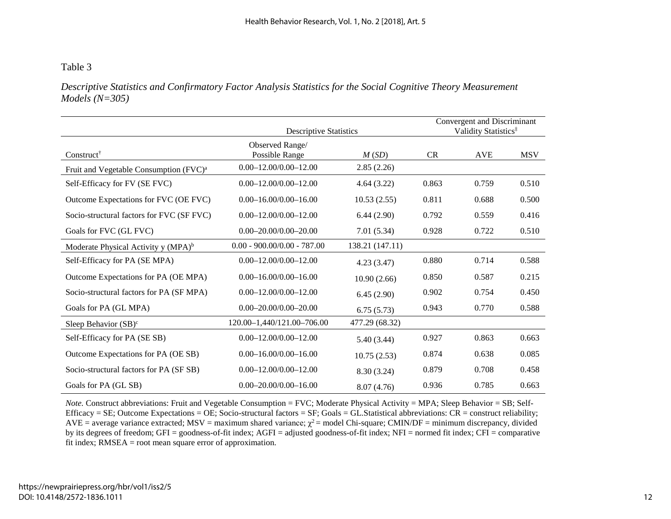# Table 3

*Descriptive Statistics and Confirmatory Factor Analysis Statistics for the Social Cognitive Theory Measurement Models (N=305)*

|                                                    | <b>Descriptive Statistics</b>     |                 | Convergent and Discriminant<br>Validity Statistics <sup>‡</sup> |            |            |
|----------------------------------------------------|-----------------------------------|-----------------|-----------------------------------------------------------------|------------|------------|
| Construct <sup>†</sup>                             | Observed Range/<br>Possible Range | M(SD)           | CR                                                              | <b>AVE</b> | <b>MSV</b> |
| Fruit and Vegetable Consumption (FVC) <sup>a</sup> | $0.00 - 12.00/0.00 - 12.00$       | 2.85(2.26)      |                                                                 |            |            |
| Self-Efficacy for FV (SE FVC)                      | $0.00 - 12.00 / 0.00 - 12.00$     | 4.64(3.22)      | 0.863                                                           | 0.759      | 0.510      |
| Outcome Expectations for FVC (OE FVC)              | $0.00 - 16.00 / 0.00 - 16.00$     | 10.53(2.55)     | 0.811                                                           | 0.688      | 0.500      |
| Socio-structural factors for FVC (SF FVC)          | $0.00 - 12.00/0.00 - 12.00$       | 6.44(2.90)      | 0.792                                                           | 0.559      | 0.416      |
| Goals for FVC (GL FVC)                             | $0.00 - 20.00/0.00 - 20.00$       | 7.01(5.34)      | 0.928                                                           | 0.722      | 0.510      |
| Moderate Physical Activity y (MPA) <sup>b</sup>    | $0.00 - 900.00/0.00 - 787.00$     | 138.21 (147.11) |                                                                 |            |            |
| Self-Efficacy for PA (SE MPA)                      | $0.00 - 12.00/0.00 - 12.00$       | 4.23(3.47)      | 0.880                                                           | 0.714      | 0.588      |
| Outcome Expectations for PA (OE MPA)               | $0.00 - 16.00/0.00 - 16.00$       | 10.90(2.66)     | 0.850                                                           | 0.587      | 0.215      |
| Socio-structural factors for PA (SF MPA)           | $0.00 - 12.00 / 0.00 - 12.00$     | 6.45(2.90)      | 0.902                                                           | 0.754      | 0.450      |
| Goals for PA (GL MPA)                              | $0.00 - 20.00 / 0.00 - 20.00$     | 6.75(5.73)      | 0.943                                                           | 0.770      | 0.588      |
| Sleep Behavior $(SB)^c$                            | 120.00-1,440/121.00-706.00        | 477.29 (68.32)  |                                                                 |            |            |
| Self-Efficacy for PA (SE SB)                       | $0.00 - 12.00/0.00 - 12.00$       | 5.40(3.44)      | 0.927                                                           | 0.863      | 0.663      |
| Outcome Expectations for PA (OE SB)                | $0.00 - 16.00/0.00 - 16.00$       | 10.75(2.53)     | 0.874                                                           | 0.638      | 0.085      |
| Socio-structural factors for PA (SF SB)            | $0.00 - 12.00/0.00 - 12.00$       | 8.30 (3.24)     | 0.879                                                           | 0.708      | 0.458      |
| Goals for PA (GL SB)                               | $0.00 - 20.00/0.00 - 16.00$       | 8.07(4.76)      | 0.936                                                           | 0.785      | 0.663      |

*Note.* Construct abbreviations: Fruit and Vegetable Consumption = FVC; Moderate Physical Activity = MPA; Sleep Behavior = SB; Self-Efficacy = SE; Outcome Expectations = OE; Socio-structural factors = SF; Goals = GL.Statistical abbreviations:  $CR$  = construct reliability;  $AVE = average variance extracted$ ;  $MSV = maximum shared variance$ ;  $\chi^2 = model Chi-square$ ; CMIN/DF = minimum discrepancy, divided by its degrees of freedom; GFI = goodness-of-fit index; AGFI = adjusted goodness-of-fit index; NFI = normed fit index; CFI = comparative fit index; RMSEA = root mean square error of approximation.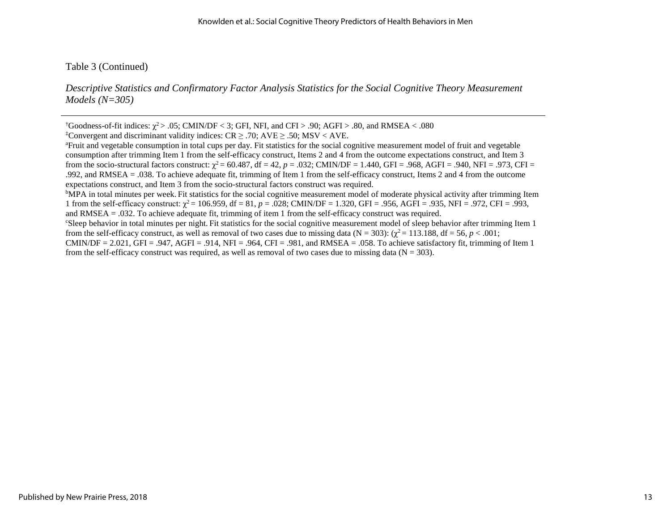Table 3 (Continued)

*Descriptive Statistics and Confirmatory Factor Analysis Statistics for the Social Cognitive Theory Measurement Models (N=305)*

<sup>b</sup>MPA in total minutes per week. Fit statistics for the social cognitive measurement model of moderate physical activity after trimming Item 1 from the self-efficacy construct:  $\chi^2 = 106.959$ , df = 81, *p* = .028; CMIN/DF = 1.320, GFI = .956, AGFI = .935, NFI = .972, CFI = .993, and RMSEA = .032. To achieve adequate fit, trimming of item 1 from the self-efficacy construct was required.

c Sleep behavior in total minutes per night. Fit statistics for the social cognitive measurement model of sleep behavior after trimming Item 1 from the self-efficacy construct, as well as removal of two cases due to missing data ( $N = 303$ ): ( $\chi^2 = 113.188$ , df = 56, *p* < .001; CMIN/DF = 2.021, GFI = .947, AGFI = .914, NFI = .964, CFI = .981, and RMSEA = .058. To achieve satisfactory fit, trimming of Item 1

from the self-efficacy construct was required, as well as removal of two cases due to missing data ( $N = 303$ ).

<sup>&</sup>lt;sup>†</sup>Goodness-of-fit indices:  $\chi^2$  > .05; CMIN/DF < 3; GFI, NFI, and CFI > .90; AGFI > .80, and RMSEA < .080

<sup>&</sup>lt;sup>‡</sup>Convergent and discriminant validity indices: CR  $\geq$  .70; AVE  $\geq$  .50; MSV < AVE.<br><sup>a</sup>Fruit and vegetable consumption in total cups per day. Fit statistics for the social co

<sup>&</sup>lt;sup>a</sup> Fruit and vegetable consumption in total cups per day. Fit statistics for the social cognitive measurement model of fruit and vegetable consumption after trimming Item 1 from the self-efficacy construct, Items 2 and 4 from the outcome expectations construct, and Item 3 from the socio-structural factors construct:  $\chi^2 = 60.487$ , df = 42, p = .032; CMIN/DF = 1.440, GFI = .968, AGFI = .940, NFI = .973, CFI = .992, and RMSEA = .038. To achieve adequate fit, trimming of Item 1 from the self-efficacy construct, Items 2 and 4 from the outcome expectations construct, and Item 3 from the socio-structural factors construct was required. b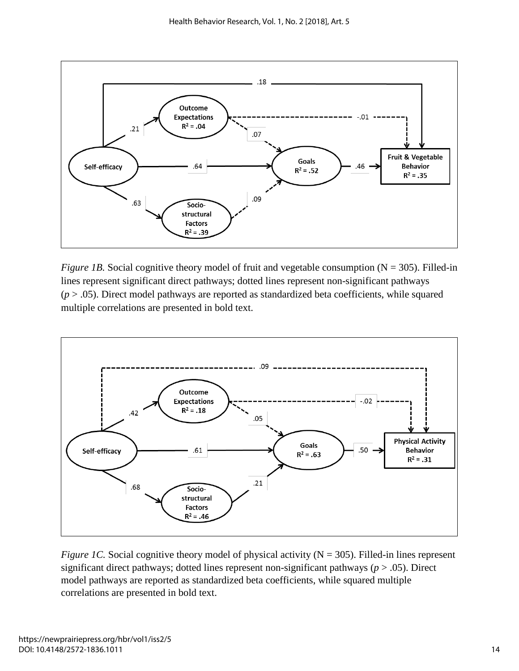

*Figure 1B.* Social cognitive theory model of fruit and vegetable consumption  $(N = 305)$ . Filled-in lines represent significant direct pathways; dotted lines represent non-significant pathways  $(p > .05)$ . Direct model pathways are reported as standardized beta coefficients, while squared multiple correlations are presented in bold text.



*Figure 1C.* Social cognitive theory model of physical activity  $(N = 305)$ . Filled-in lines represent significant direct pathways; dotted lines represent non-significant pathways (*p* > .05). Direct model pathways are reported as standardized beta coefficients, while squared multiple correlations are presented in bold text.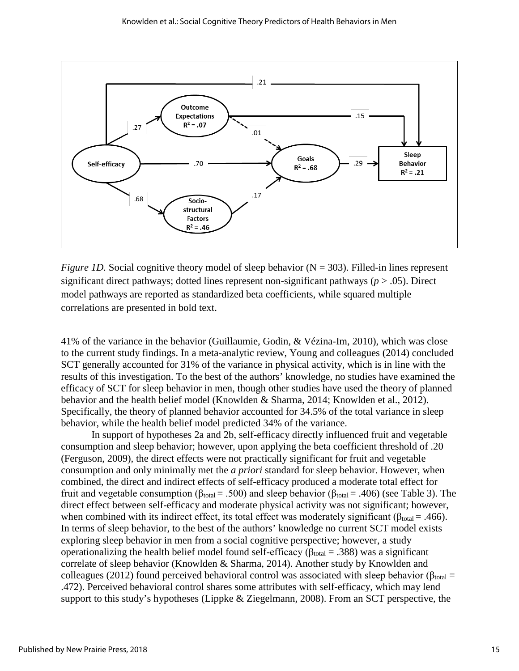

*Figure 1D.* Social cognitive theory model of sleep behavior  $(N = 303)$ . Filled-in lines represent significant direct pathways; dotted lines represent non-significant pathways (*p* > .05). Direct model pathways are reported as standardized beta coefficients, while squared multiple correlations are presented in bold text.

41% of the variance in the behavior (Guillaumie, Godin, & Vézina-Im, 2010), which was close to the current study findings. In a meta-analytic review, Young and colleagues (2014) concluded SCT generally accounted for 31% of the variance in physical activity, which is in line with the results of this investigation. To the best of the authors' knowledge, no studies have examined the efficacy of SCT for sleep behavior in men, though other studies have used the theory of planned behavior and the health belief model (Knowlden & Sharma, 2014; Knowlden et al., 2012). Specifically, the theory of planned behavior accounted for 34.5% of the total variance in sleep behavior, while the health belief model predicted 34% of the variance.

In support of hypotheses 2a and 2b, self-efficacy directly influenced fruit and vegetable consumption and sleep behavior; however, upon applying the beta coefficient threshold of .20 (Ferguson, 2009), the direct effects were not practically significant for fruit and vegetable consumption and only minimally met the *a priori* standard for sleep behavior. However, when combined, the direct and indirect effects of self-efficacy produced a moderate total effect for fruit and vegetable consumption ( $β_{total} = .500$ ) and sleep behavior ( $β_{total} = .406$ ) (see Table 3). The direct effect between self-efficacy and moderate physical activity was not significant; however, when combined with its indirect effect, its total effect was moderately significant ( $\beta_{\text{total}} = .466$ ). In terms of sleep behavior, to the best of the authors' knowledge no current SCT model exists exploring sleep behavior in men from a social cognitive perspective; however, a study operationalizing the health belief model found self-efficacy ( $\beta_{total} = .388$ ) was a significant correlate of sleep behavior (Knowlden & Sharma, 2014). Another study by Knowlden and colleagues (2012) found perceived behavioral control was associated with sleep behavior (β<sub>total</sub> = .472). Perceived behavioral control shares some attributes with self-efficacy, which may lend support to this study's hypotheses (Lippke & Ziegelmann, 2008). From an SCT perspective, the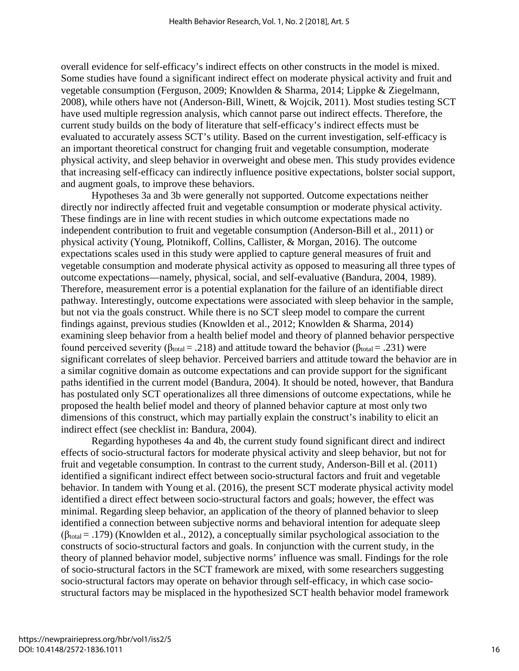overall evidence for self-efficacy's indirect effects on other constructs in the model is mixed. Some studies have found a significant indirect effect on moderate physical activity and fruit and vegetable consumption (Ferguson, 2009; Knowlden & Sharma, 2014; Lippke & Ziegelmann, 2008), while others have not (Anderson-Bill, Winett, & Wojcik, 2011). Most studies testing SCT have used multiple regression analysis, which cannot parse out indirect effects. Therefore, the current study builds on the body of literature that self-efficacy's indirect effects must be evaluated to accurately assess SCT's utility. Based on the current investigation, self-efficacy is an important theoretical construct for changing fruit and vegetable consumption, moderate physical activity, and sleep behavior in overweight and obese men. This study provides evidence that increasing self-efficacy can indirectly influence positive expectations, bolster social support, and augment goals, to improve these behaviors.

Hypotheses 3a and 3b were generally not supported. Outcome expectations neither directly nor indirectly affected fruit and vegetable consumption or moderate physical activity. These findings are in line with recent studies in which outcome expectations made no independent contribution to fruit and vegetable consumption (Anderson-Bill et al., 2011) or physical activity (Young, Plotnikoff, Collins, Callister, & Morgan, 2016). The outcome expectations scales used in this study were applied to capture general measures of fruit and vegetable consumption and moderate physical activity as opposed to measuring all three types of outcome expectations—namely, physical, social, and self-evaluative (Bandura, 2004, 1989). Therefore, measurement error is a potential explanation for the failure of an identifiable direct pathway. Interestingly, outcome expectations were associated with sleep behavior in the sample, but not via the goals construct. While there is no SCT sleep model to compare the current findings against, previous studies (Knowlden et al., 2012; Knowlden & Sharma, 2014) examining sleep behavior from a health belief model and theory of planned behavior perspective found perceived severity ( $β_{total} = .218$ ) and attitude toward the behavior ( $β_{total} = .231$ ) were significant correlates of sleep behavior. Perceived barriers and attitude toward the behavior are in a similar cognitive domain as outcome expectations and can provide support for the significant paths identified in the current model (Bandura, 2004). It should be noted, however, that Bandura has postulated only SCT operationalizes all three dimensions of outcome expectations, while he proposed the health belief model and theory of planned behavior capture at most only two dimensions of this construct, which may partially explain the construct's inability to elicit an indirect effect (see checklist in: Bandura, 2004).

Regarding hypotheses 4a and 4b, the current study found significant direct and indirect effects of socio-structural factors for moderate physical activity and sleep behavior, but not for fruit and vegetable consumption. In contrast to the current study, Anderson-Bill et al. (2011) identified a significant indirect effect between socio-structural factors and fruit and vegetable behavior. In tandem with Young et al. (2016), the present SCT moderate physical activity model identified a direct effect between socio-structural factors and goals; however, the effect was minimal. Regarding sleep behavior, an application of the theory of planned behavior to sleep identified a connection between subjective norms and behavioral intention for adequate sleep  $(\beta_{\text{total}} = .179)$  (Knowlden et al., 2012), a conceptually similar psychological association to the constructs of socio-structural factors and goals. In conjunction with the current study, in the theory of planned behavior model, subjective norms' influence was small. Findings for the role of socio-structural factors in the SCT framework are mixed, with some researchers suggesting socio-structural factors may operate on behavior through self-efficacy, in which case sociostructural factors may be misplaced in the hypothesized SCT health behavior model framework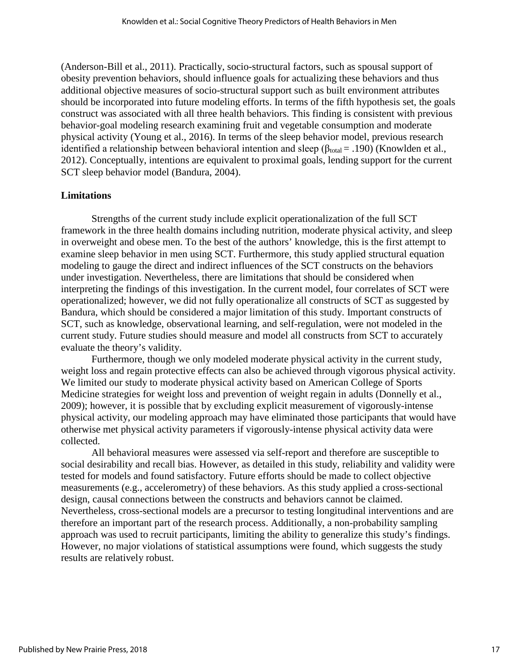(Anderson-Bill et al., 2011). Practically, socio-structural factors, such as spousal support of obesity prevention behaviors, should influence goals for actualizing these behaviors and thus additional objective measures of socio-structural support such as built environment attributes should be incorporated into future modeling efforts. In terms of the fifth hypothesis set, the goals construct was associated with all three health behaviors. This finding is consistent with previous behavior-goal modeling research examining fruit and vegetable consumption and moderate physical activity (Young et al., 2016). In terms of the sleep behavior model, previous research identified a relationship between behavioral intention and sleep ( $\beta_{total} = .190$ ) (Knowlden et al., 2012). Conceptually, intentions are equivalent to proximal goals, lending support for the current SCT sleep behavior model (Bandura, 2004).

#### **Limitations**

Strengths of the current study include explicit operationalization of the full SCT framework in the three health domains including nutrition, moderate physical activity, and sleep in overweight and obese men. To the best of the authors' knowledge, this is the first attempt to examine sleep behavior in men using SCT. Furthermore, this study applied structural equation modeling to gauge the direct and indirect influences of the SCT constructs on the behaviors under investigation. Nevertheless, there are limitations that should be considered when interpreting the findings of this investigation. In the current model, four correlates of SCT were operationalized; however, we did not fully operationalize all constructs of SCT as suggested by Bandura, which should be considered a major limitation of this study. Important constructs of SCT, such as knowledge, observational learning, and self-regulation, were not modeled in the current study. Future studies should measure and model all constructs from SCT to accurately evaluate the theory's validity.

Furthermore, though we only modeled moderate physical activity in the current study, weight loss and regain protective effects can also be achieved through vigorous physical activity. We limited our study to moderate physical activity based on American College of Sports Medicine strategies for weight loss and prevention of weight regain in adults (Donnelly et al., 2009); however, it is possible that by excluding explicit measurement of vigorously-intense physical activity, our modeling approach may have eliminated those participants that would have otherwise met physical activity parameters if vigorously-intense physical activity data were collected.

All behavioral measures were assessed via self-report and therefore are susceptible to social desirability and recall bias. However, as detailed in this study, reliability and validity were tested for models and found satisfactory. Future efforts should be made to collect objective measurements (e.g., accelerometry) of these behaviors. As this study applied a cross-sectional design, causal connections between the constructs and behaviors cannot be claimed. Nevertheless, cross-sectional models are a precursor to testing longitudinal interventions and are therefore an important part of the research process. Additionally, a non-probability sampling approach was used to recruit participants, limiting the ability to generalize this study's findings. However, no major violations of statistical assumptions were found, which suggests the study results are relatively robust.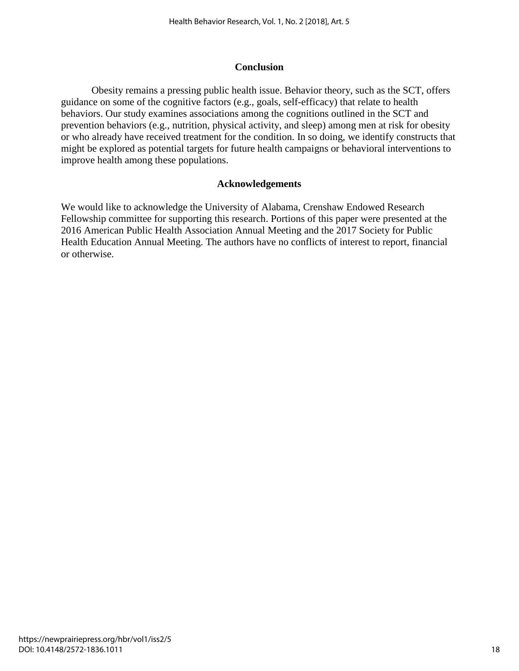### **Conclusion**

Obesity remains a pressing public health issue. Behavior theory, such as the SCT, offers guidance on some of the cognitive factors (e.g., goals, self-efficacy) that relate to health behaviors. Our study examines associations among the cognitions outlined in the SCT and prevention behaviors (e.g., nutrition, physical activity, and sleep) among men at risk for obesity or who already have received treatment for the condition. In so doing, we identify constructs that might be explored as potential targets for future health campaigns or behavioral interventions to improve health among these populations.

#### **Acknowledgements**

We would like to acknowledge the University of Alabama, Crenshaw Endowed Research Fellowship committee for supporting this research. Portions of this paper were presented at the 2016 American Public Health Association Annual Meeting and the 2017 Society for Public Health Education Annual Meeting. The authors have no conflicts of interest to report, financial or otherwise.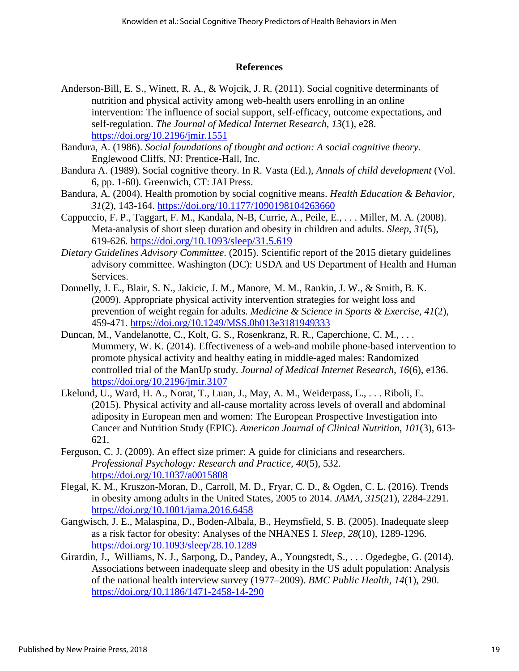#### **References**

- Anderson-Bill, E. S., Winett, R. A., & Wojcik, J. R. (2011). Social cognitive determinants of nutrition and physical activity among web-health users enrolling in an online intervention: The influence of social support, self-efficacy, outcome expectations, and self-regulation. *The Journal of Medical Internet Research, 13*(1), e28. <https://doi.org/10.2196/jmir.1551>
- Bandura, A. (1986). *Social foundations of thought and action: A social cognitive theory.* Englewood Cliffs, NJ: Prentice-Hall, Inc.
- Bandura A. (1989). Social cognitive theory. In R. Vasta (Ed.), *Annals of child development* (Vol. 6, pp. 1-60)*.* Greenwich, CT: JAI Press.
- Bandura, A. (2004). Health promotion by social cognitive means. *Health Education & Behavior, 31*(2), 143-164.<https://doi.org/10.1177/1090198104263660>
- Cappuccio, F. P., Taggart, F. M., Kandala, N-B, Currie, A., Peile, E., . . . Miller, M. A. (2008). Meta-analysis of short sleep duration and obesity in children and adults. *Sleep, 31*(5), 619-626.<https://doi.org/10.1093/sleep/31.5.619>
- *Dietary Guidelines Advisory Committee*. (2015). Scientific report of the 2015 dietary guidelines advisory committee. Washington (DC): USDA and US Department of Health and Human Services.
- Donnelly, J. E., Blair, S. N., Jakicic, J. M., Manore, M. M., Rankin, J. W., & Smith, B. K. (2009). Appropriate physical activity intervention strategies for weight loss and prevention of weight regain for adults. *Medicine & Science in Sports & Exercise, 41*(2), 459-471.<https://doi.org/10.1249/MSS.0b013e3181949333>
- Duncan, M., Vandelanotte, C., Kolt, G. S., Rosenkranz, R. R., Caperchione, C. M., . . . Mummery, W. K. (2014). Effectiveness of a web-and mobile phone-based intervention to promote physical activity and healthy eating in middle-aged males: Randomized controlled trial of the ManUp study. *Journal of Medical Internet Research, 16*(6), e136. <https://doi.org/10.2196/jmir.3107>
- Ekelund, U., Ward, H. A., Norat, T., Luan, J., May, A. M., Weiderpass, E., . . . Riboli, E. (2015). Physical activity and all-cause mortality across levels of overall and abdominal adiposity in European men and women: The European Prospective Investigation into Cancer and Nutrition Study (EPIC). *American Journal of Clinical Nutrition, 101*(3), 613- 621.
- Ferguson, C. J. (2009). An effect size primer: A guide for clinicians and researchers. *Professional Psychology: Research and Practice, 40*(5), 532. <https://doi.org/10.1037/a0015808>
- Flegal, K. M., Kruszon-Moran, D., Carroll, M. D., Fryar, C. D., & Ogden, C. L. (2016). Trends in obesity among adults in the United States, 2005 to 2014. *JAMA, 315*(21), 2284-2291. <https://doi.org/10.1001/jama.2016.6458>
- Gangwisch, J. E., Malaspina, D., Boden-Albala, B., Heymsfield, S. B. (2005). Inadequate sleep as a risk factor for obesity: Analyses of the NHANES I. *Sleep, 28*(10), 1289-1296. <https://doi.org/10.1093/sleep/28.10.1289>
- Girardin, J., Williams, N. J., Sarpong, D., Pandey, A., Youngstedt, S., . . . Ogedegbe, G. (2014). Associations between inadequate sleep and obesity in the US adult population: Analysis of the national health interview survey (1977–2009). *BMC Public Health, 14*(1), 290. <https://doi.org/10.1186/1471-2458-14-290>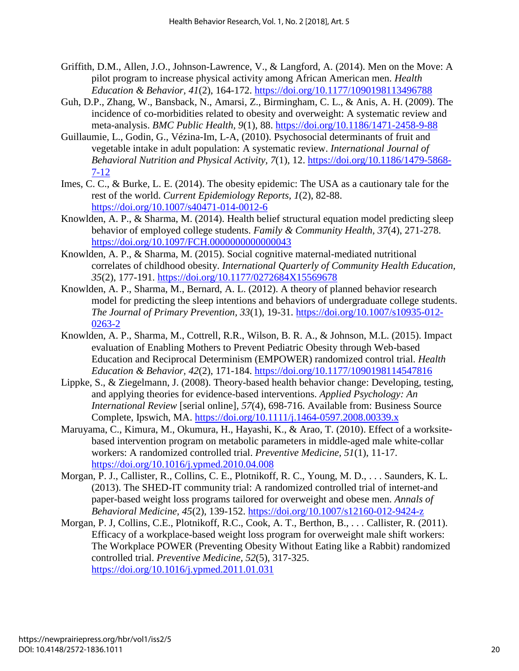- Griffith, D.M., Allen, J.O., Johnson-Lawrence, V., & Langford, A. (2014). Men on the Move: A pilot program to increase physical activity among African American men. *Health Education & Behavior, 41*(2), 164-172.<https://doi.org/10.1177/1090198113496788>
- Guh, D.P., Zhang, W., Bansback, N., Amarsi, Z., Birmingham, C. L., & Anis, A. H. (2009). The incidence of co-morbidities related to obesity and overweight: A systematic review and meta-analysis. *BMC Public Health, 9*(1), 88.<https://doi.org/10.1186/1471-2458-9-88>
- Guillaumie, L., Godin, G., Vézina-Im, L-A, (2010). Psychosocial determinants of fruit and vegetable intake in adult population: A systematic review. *International Journal of Behavioral Nutrition and Physical Activity, 7*(1), 12. [https://doi.org/10.1186/1479-5868-](https://doi.org/10.1186/1479-5868-7-12) [7-12](https://doi.org/10.1186/1479-5868-7-12)
- Imes, C. C., & Burke, L. E. (2014). The obesity epidemic: The USA as a cautionary tale for the rest of the world. *Current Epidemiology Reports, 1*(2), 82-88. <https://doi.org/10.1007/s40471-014-0012-6>
- Knowlden, A. P., & Sharma, M. (2014). Health belief structural equation model predicting sleep behavior of employed college students. *Family & Community Health, 37*(4), 271-278. <https://doi.org/10.1097/FCH.0000000000000043>
- Knowlden, A. P., & Sharma, M. (2015). Social cognitive maternal-mediated nutritional correlates of childhood obesity. *International Quarterly of Community Health Education, 35*(2), 177-191.<https://doi.org/10.1177/0272684X15569678>
- Knowlden, A. P., Sharma, M., Bernard, A. L. (2012). A theory of planned behavior research model for predicting the sleep intentions and behaviors of undergraduate college students. *The Journal of Primary Prevention, 33*(1), 19-31. [https://doi.org/10.1007/s10935-012-](https://doi.org/10.1007/s10935-012-0263-2) [0263-2](https://doi.org/10.1007/s10935-012-0263-2)
- Knowlden, A. P., Sharma, M., Cottrell, R.R., Wilson, B. R. A., & Johnson, M.L. (2015). Impact evaluation of Enabling Mothers to Prevent Pediatric Obesity through Web-based Education and Reciprocal Determinism (EMPOWER) randomized control trial. *Health Education & Behavior, 42*(2), 171-184.<https://doi.org/10.1177/1090198114547816>
- Lippke, S., & Ziegelmann, J. (2008). Theory-based health behavior change: Developing, testing, and applying theories for evidence-based interventions. *Applied Psychology: An International Review* [serial online]*, 57*(4), 698-716. Available from: Business Source Complete, Ipswich, MA. <https://doi.org/10.1111/j.1464-0597.2008.00339.x>
- Maruyama, C., Kimura, M., Okumura, H., Hayashi, K., & Arao, T. (2010). Effect of a worksitebased intervention program on metabolic parameters in middle-aged male white-collar workers: A randomized controlled trial. *Preventive Medicine, 51*(1), 11-17. <https://doi.org/10.1016/j.ypmed.2010.04.008>
- Morgan, P. J., Callister, R., Collins, C. E., Plotnikoff, R. C., Young, M. D., . . . Saunders, K. L. (2013). The SHED-IT community trial: A randomized controlled trial of internet-and paper-based weight loss programs tailored for overweight and obese men. *Annals of Behavioral Medicine, 45*(2), 139-152.<https://doi.org/10.1007/s12160-012-9424-z>
- Morgan, P. J, Collins, C.E., Plotnikoff, R.C., Cook, A. T., Berthon, B., . . . Callister, R. (2011). Efficacy of a workplace-based weight loss program for overweight male shift workers: The Workplace POWER (Preventing Obesity Without Eating like a Rabbit) randomized controlled trial. *Preventive Medicine, 52*(5), 317-325. <https://doi.org/10.1016/j.ypmed.2011.01.031>